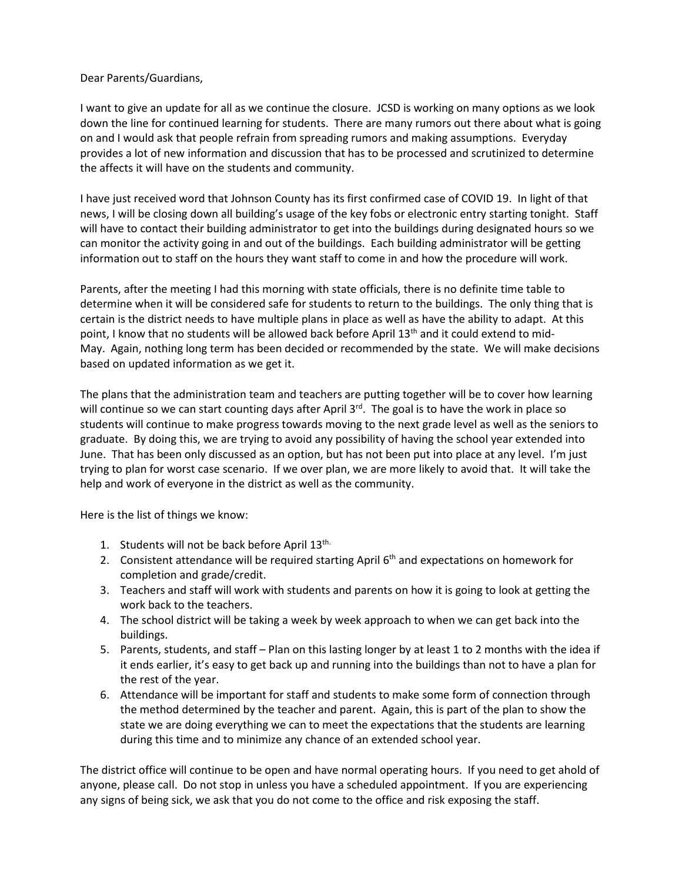Dear Parents/Guardians,

I want to give an update for all as we continue the closure. JCSD is working on many options as we look down the line for continued learning for students. There are many rumors out there about what is going on and I would ask that people refrain from spreading rumors and making assumptions. Everyday provides a lot of new information and discussion that has to be processed and scrutinized to determine the affects it will have on the students and community.

I have just received word that Johnson County has its first confirmed case of COVID 19. In light of that news, I will be closing down all building's usage of the key fobs or electronic entry starting tonight. Staff will have to contact their building administrator to get into the buildings during designated hours so we can monitor the activity going in and out of the buildings. Each building administrator will be getting information out to staff on the hours they want staff to come in and how the procedure will work.

Parents, after the meeting I had this morning with state officials, there is no definite time table to determine when it will be considered safe for students to return to the buildings. The only thing that is certain is the district needs to have multiple plans in place as well as have the ability to adapt. At this point, I know that no students will be allowed back before April  $13<sup>th</sup>$  and it could extend to mid-May. Again, nothing long term has been decided or recommended by the state. We will make decisions based on updated information as we get it.

The plans that the administration team and teachers are putting together will be to cover how learning will continue so we can start counting days after April  $3^{rd}$ . The goal is to have the work in place so students will continue to make progress towards moving to the next grade level as well as the seniors to graduate. By doing this, we are trying to avoid any possibility of having the school year extended into June. That has been only discussed as an option, but has not been put into place at any level. I'm just trying to plan for worst case scenario. If we over plan, we are more likely to avoid that. It will take the help and work of everyone in the district as well as the community.

Here is the list of things we know:

- 1. Students will not be back before April 13<sup>th.</sup>
- 2. Consistent attendance will be required starting April  $6<sup>th</sup>$  and expectations on homework for completion and grade/credit.
- 3. Teachers and staff will work with students and parents on how it is going to look at getting the work back to the teachers.
- 4. The school district will be taking a week by week approach to when we can get back into the buildings.
- 5. Parents, students, and staff Plan on this lasting longer by at least 1 to 2 months with the idea if it ends earlier, it's easy to get back up and running into the buildings than not to have a plan for the rest of the year.
- 6. Attendance will be important for staff and students to make some form of connection through the method determined by the teacher and parent. Again, this is part of the plan to show the state we are doing everything we can to meet the expectations that the students are learning during this time and to minimize any chance of an extended school year.

The district office will continue to be open and have normal operating hours. If you need to get ahold of anyone, please call. Do not stop in unless you have a scheduled appointment. If you are experiencing any signs of being sick, we ask that you do not come to the office and risk exposing the staff.